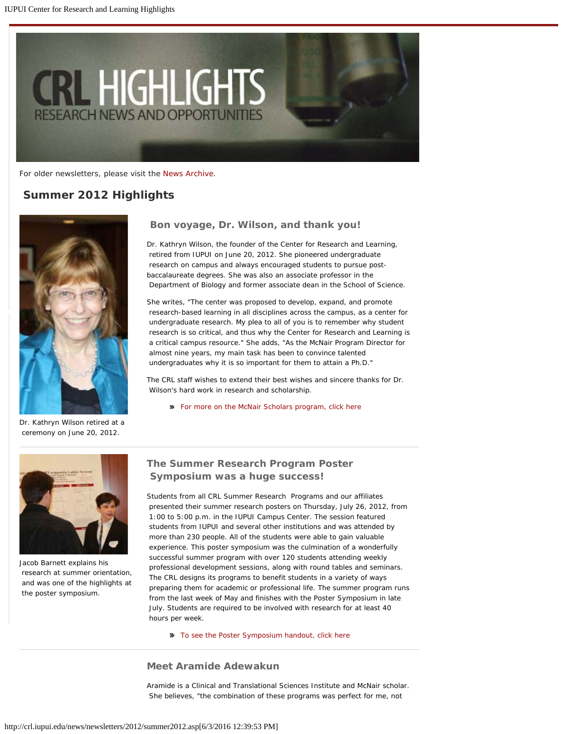

For older newsletters, please visit the [News Archive](http://crl.iupui.edu/news/archive.asp).

# *Summer 2012 Highlights*



 **Bon voyage, Dr. Wilson, and thank you!**

Dr. Kathryn Wilson, the founder of the Center for Research and Learning, retired from IUPUI on June 20, 2012. She pioneered undergraduate research on campus and always encouraged students to pursue postbaccalaureate degrees. She was also an associate professor in the Department of Biology and former associate dean in the School of Science.

She writes, "The center was proposed to develop, expand, and promote research-based learning in all disciplines across the campus, as a center for undergraduate research. My plea to all of you is to remember why student research is so critical, and thus why the Center for Research and Learning is a critical campus resource." She adds, "As the McNair Program Director for almost nine years, my main task has been to convince talented undergraduates why it is so important for them to attain a Ph.D."

The CRL staff wishes to extend their best wishes and sincere thanks for Dr. Wilson's hard work in research and scholarship.

[For more on the McNair Scholars program, click here](http://www.crl.iupui.edu/programs/McNair/index.asp)

Dr. Kathryn Wilson retired at a ceremony on June 20, 2012.



Jacob Barnett explains his research at summer orientation, and was one of the highlights at the poster symposium.

# **The Summer Research Program Poster Symposium was a huge success!**

Students from all CRL Summer Research Programs and our affiliates presented their summer research posters on Thursday, July 26, 2012, from 1:00 to 5:00 p.m. in the IUPUI Campus Center. The session featured students from IUPUI and several other institutions and was attended by more than 230 people. All of the students were able to gain valuable experience. This poster symposium was the culmination of a wonderfully successful summer program with over 120 students attending weekly professional development sessions, along with round tables and seminars. The CRL designs its programs to benefit students in a variety of ways preparing them for academic or professional life. The summer program runs from the last week of May and finishes with the Poster Symposium in late July. Students are required to be involved with research for at least 40 hours per week.

[To see the Poster Symposium handout, click here](http://www.crl.iupui.edu/events/SRP/resources/SRP-SummerPosterSymposiumHandout.pdf)

#### **Meet Aramide Adewakun**

Aramide is a Clinical and Translational Sciences Institute and McNair scholar. She believes, "the combination of these programs was perfect for me, not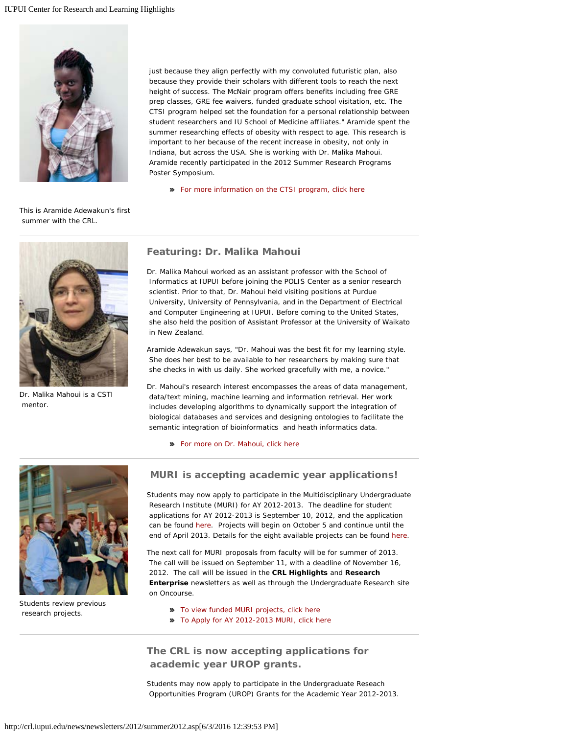

just because they align perfectly with my convoluted futuristic plan, also because they provide their scholars with different tools to reach the next height of success. The McNair program offers benefits including free GRE prep classes, GRE fee waivers, funded graduate school visitation, etc. The CTSI program helped set the foundation for a personal relationship between student researchers and IU School of Medicine affiliates." Aramide spent the summer researching effects of obesity with respect to age. This research is important to her because of the recent increase in obesity, not only in Indiana, but across the USA. She is working with Dr. Malika Mahoui. Aramide recently participated in the 2012 Summer Research Programs Poster Symposium.

[For more information on the CTSI program, click here](http://www.crl.iupui.edu/programs/CTSI/index.asp)

This is Aramide Adewakun's first summer with the CRL.



Dr. Malika Mahoui is a CSTI mentor.

### **Featuring: Dr. Malika Mahoui**

Dr. Malika Mahoui worked as an assistant professor with the School of Informatics at IUPUI before joining the POLIS Center as a senior research scientist. Prior to that, Dr. Mahoui held visiting positions at Purdue University, University of Pennsylvania, and in the Department of Electrical and Computer Engineering at IUPUI. Before coming to the United States, she also held the position of Assistant Professor at the University of Waikato in New Zealand.

Aramide Adewakun says, "Dr. Mahoui was the best fit for my learning style. She does her best to be available to her researchers by making sure that she checks in with us daily. She worked gracefully with me, a novice."

Dr. Mahoui's research interest encompasses the areas of data management, data/text mining, machine learning and information retrieval. Her work includes developing algorithms to dynamically support the integration of biological databases and services and designing ontologies to facilitate the semantic integration of bioinformatics and heath informatics data.

[For more on Dr. Mahoui, click here](http://informatics.iupui.edu/people/malika-mahoui/)



Students review previous research projects.

### **MURI is accepting academic year applications!**

Students may now apply to participate in the Multidisciplinary Undergraduate Research Institute (MURI) for AY 2012-2013. The deadline for student applications for AY 2012-2013 is September 10, 2012, and the application can be found [here](https://surveycentral.uc.iupui.edu/AY20122013MURI%20studentapp.aspx). Projects will begin on October 5 and continue until the end of April 2013. Details for the eight available projects can be found [here](http://crl.iupui.edu/programs/MURI/2012-2013AYfundedproposals.asp).

The next call for MURI proposals from faculty will be for summer of 2013. The call will be issued on September 11, with a deadline of November 16, 2012. The call will be issued in the *CRL Highlights* and *Research Enterprise* newsletters as well as through the Undergraduate Research site on Oncourse.

**[To view funded MURI projects, click here](http://crl.iupui.edu/programs/MURI/2012-2013AYfundedproposals.asp)** 

[To Apply for AY 2012-2013 MURI, click here](https://surveycentral.uc.iupui.edu/AY20122013MURI_studentapp.aspx)

**The CRL is now accepting applications for academic year UROP grants.**

Students may now apply to participate in the Undergraduate Reseach Opportunities Program (UROP) Grants for the Academic Year 2012-2013.